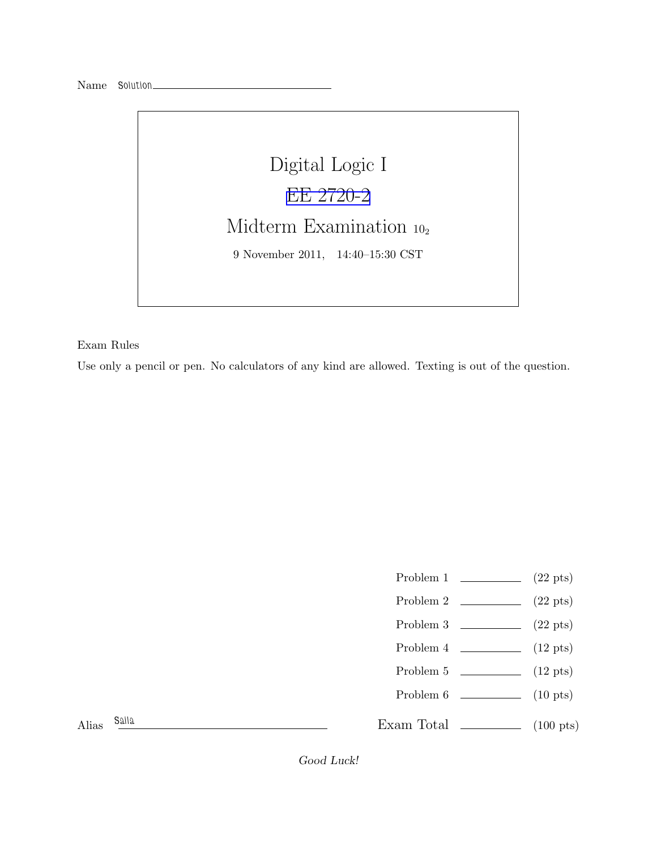

Exam Rules

Use only a pencil or pen. No calculators of any kind are allowed. Texting is out of the question.

- Problem 1  $\qquad \qquad$  (22 pts)
- Problem 2  $\qquad \qquad$  (22 pts)
- Problem 3  $\qquad \qquad$  (22 pts)
- Problem  $4 \t\t(12 \text{ pts})$
- Problem 5 (12 pts)
- Problem 6 (10 pts)

Alias *Saila*

Exam Total (100 pts)

Good Luck!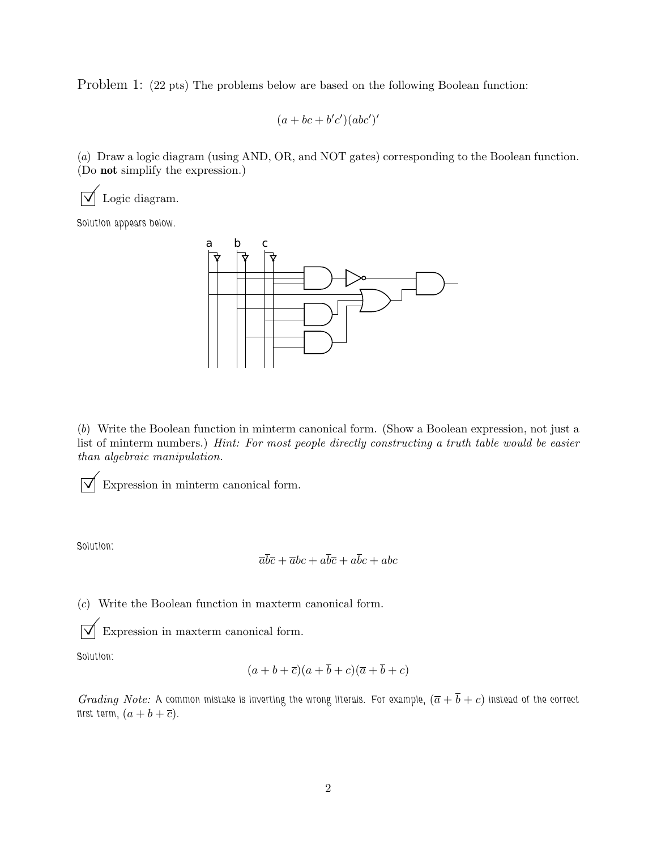Problem 1: (22 pts) The problems below are based on the following Boolean function:

$$
(a+bc+b'c')(abc')'
$$

(*a*) Draw a logic diagram (using AND, OR, and NOT gates) corresponding to the Boolean function. (Do not simplify the expression.)

 $\sqrt{\phantom{a}}$  Logic diagram.

*Solution appears below.*



(*b*) Write the Boolean function in minterm canonical form. (Show a Boolean expression, not just a list of minterm numbers.) *Hint: For most people directly constructing a truth table would be easier than algebraic manipulation.*

 $\overrightarrow{\bigvee}$  Expression in minterm canonical form.

*Solution:*

$$
\overline{a}\overline{b}\overline{c} + \overline{a}bc + a\overline{b}\overline{c} + a\overline{b}c + abc
$$

(*c*) Write the Boolean function in maxterm canonical form.

 $\overrightarrow{\mathsf{M}}$  Expression in maxterm canonical form.

*Solution:*

$$
(a+b+\overline{c})(a+\overline{b}+c)(\overline{a}+\overline{b}+c)
$$

*Grading Note:* A common mistake is inverting the wrong literals. For example,  $(\overline{a} + \overline{b} + c)$  instead of the correct *first term,*  $(a + b + \overline{c})$ *.*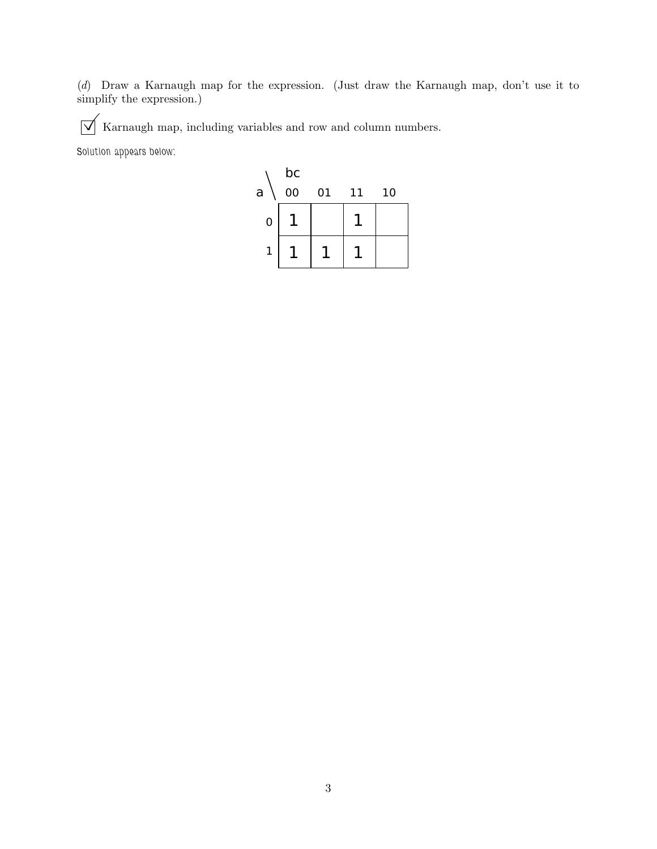(*d*) Draw a Karnaugh map for the expression. (Just draw the Karnaugh map, don't use it to simplify the expression.)

 $\boxed{\bigvee}$  Karnaugh map, including variables and row and column numbers.

*Solution appears below:*

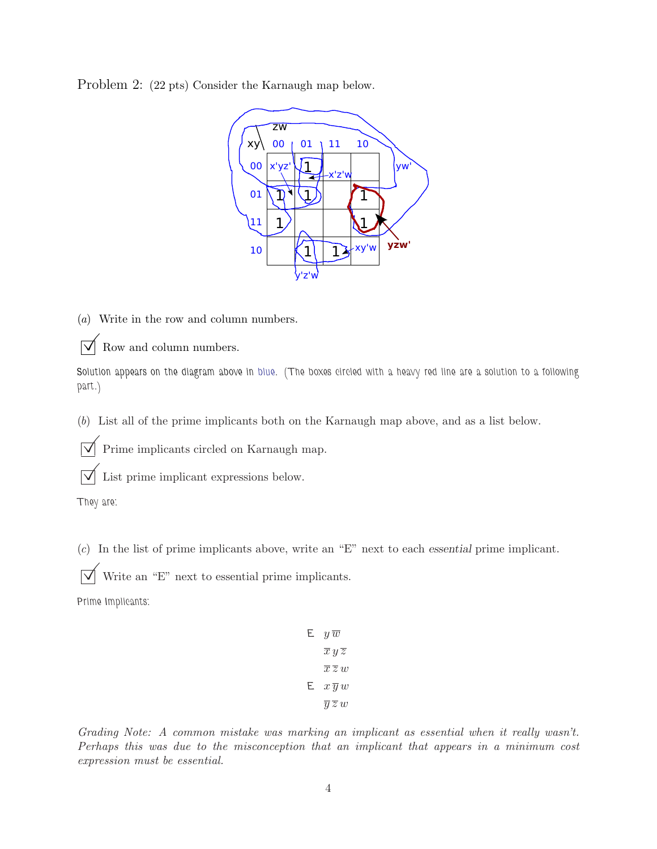Problem 2: (22 pts) Consider the Karnaugh map below.



(*a*) Write in the row and column numbers.

 $\triangledown$  Row and column numbers.

*Solution appears on the diagram above in blue. (The boxes circled with a heavy red line are a solution to a following part.)*

(*b*) List all of the prime implicants both on the Karnaugh map above, and as a list below.

 $\overrightarrow{\mathsf{M}}$  Prime implicants circled on Karnaugh map.

 $\overrightarrow{\bigvee}$  List prime implicant expressions below.

*They are:*

(*c*) In the list of prime implicants above, write an "E" next to each essential prime implicant.

 $\overrightarrow{\mathbf{V}}$  Write an "E" next to essential prime implicants.

*Prime Implicants:*

E  $y\,\overline{w}$  $\overline{x}y\overline{z}$  $\overline{x} \overline{z} w$  $E \quad x \overline{y} w$  $\overline{y} \overline{z} w$ 

*Grading Note: A common mistake was marking an implicant as essential when it really wasn't. Perhaps this was due to the misconception that an implicant that appears in a minimum cost expression must be essential.*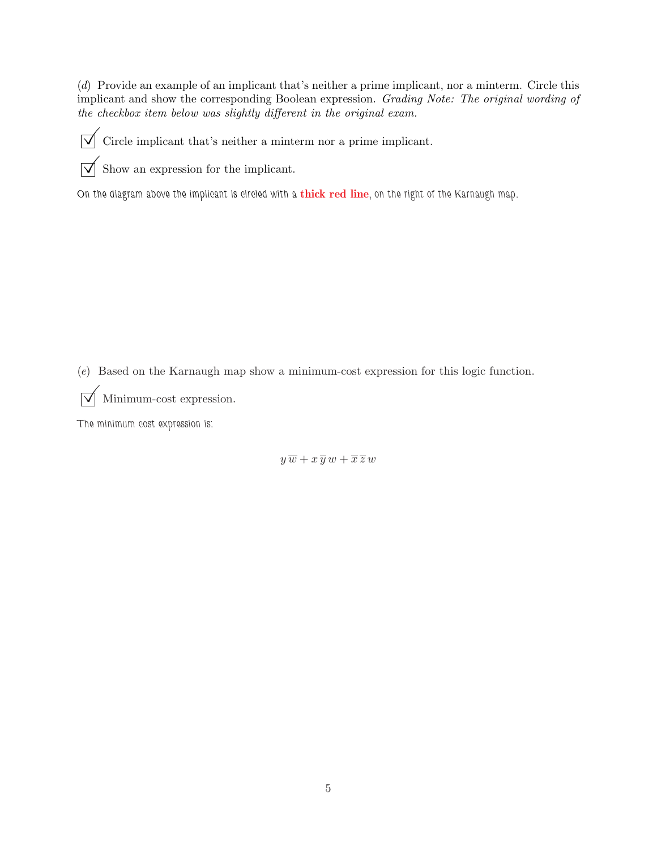(*d*) Provide an example of an implicant that's neither a prime implicant, nor a minterm. Circle this implicant and show the corresponding Boolean expression. *Grading Note: The original wording of the checkbox item below was slightly different in the original exam.*

 $\boxed{\bigtriangledown}$  Circle implicant that's neither a minterm nor a prime implicant.

 $\overrightarrow{\bigvee}$  Show an expression for the implicant.

*On the diagram above the implicant is circled with a* thick red line*, on the right of the Karnaugh map.*

(*e*) Based on the Karnaugh map show a minimum-cost expression for this logic function.

 $\sqrt{\phantom{a}}$  Minimum-cost expression.

*The minimum cost expression is:*

 $y \overline{w} + x \overline{y} w + \overline{x} \overline{z} w$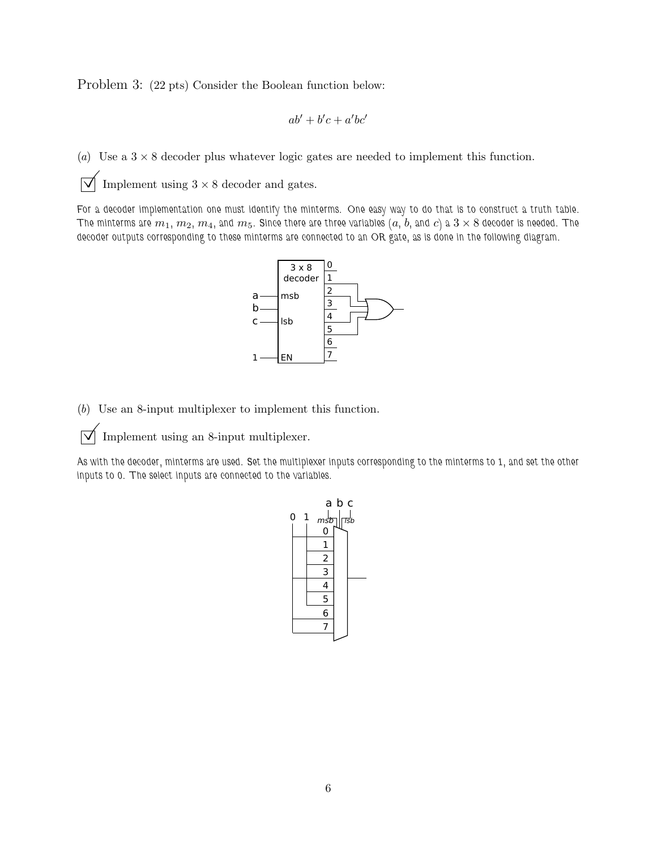Problem 3: (22 pts) Consider the Boolean function below:

$$
ab'+b'c+a'bc'
$$

(*a*) Use a  $3 \times 8$  decoder plus whatever logic gates are needed to implement this function.

 $\sqrt{\phantom{a}}$  Implement using  $3 \times 8$  decoder and gates.

*For a decoder implementation one must identify the minterms. One easy way to do that is to construct a truth table. The minterms are*  $m_1$ ,  $m_2$ ,  $m_4$ , and  $m_5$ . Since there are three variables  $(a, b,$  and  $c)$  a  $3 \times 8$  decoder is needed. The *decoder outputs corresponding to these minterms are connected to an OR gate, as is done in the following diagram.*



(*b*) Use an 8-input multiplexer to implement this function.

 $\boxed{\bigtriangledown}$  Implement using an 8-input multiplexer.

*As with the decoder, minterms are used. Set the multiplexer inputs corresponding to the minterms to 1, and set the other inputs to 0. The select inputs are connected to the variables.*

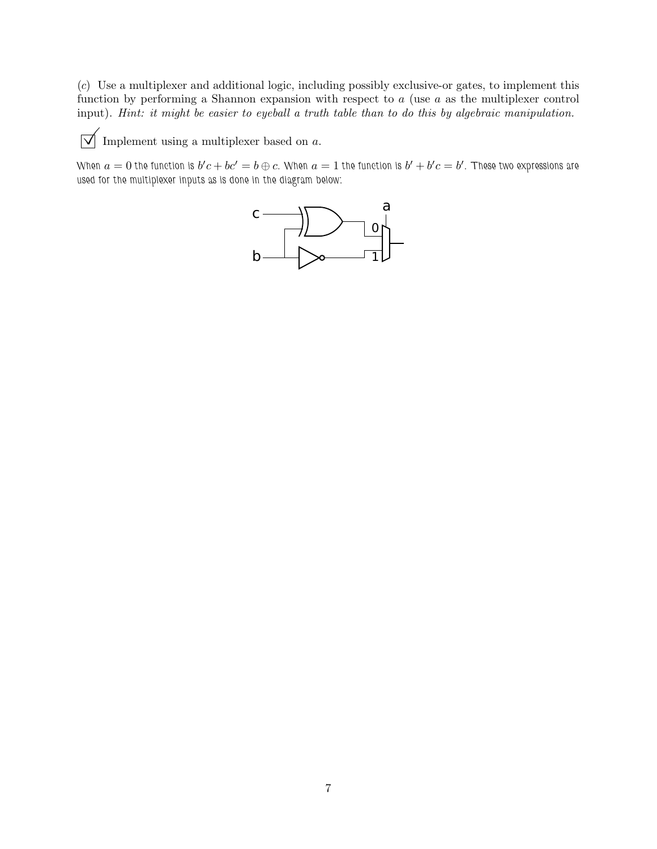(*c*) Use a multiplexer and additional logic, including possibly exclusive-or gates, to implement this function by performing a Shannon expansion with respect to a (use a as the multiplexer control input). *Hint: it might be easier to eyeball a truth table than to do this by algebraic manipulation.*

 $\boxed{\bigvee}$  Implement using a multiplexer based on  $a.$ 

When  $a=0$  the function is  $b'c+bc'=b\oplus c$ . When  $a=1$  the function is  $b'+b'c=b'$ . These two expressions are *used for the multiplexer inputs as is done in the diagram below:*

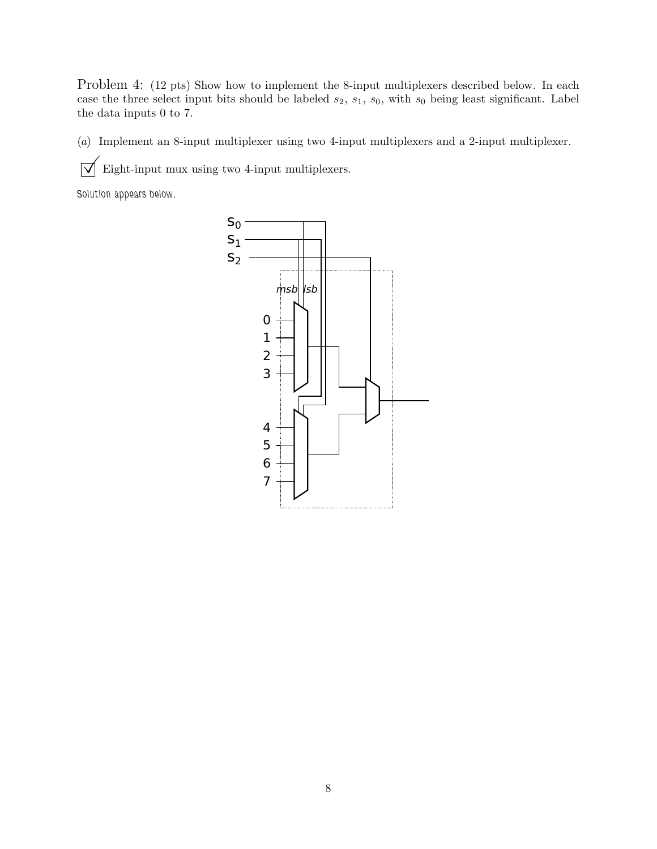Problem 4: (12 pts) Show how to implement the 8-input multiplexers described below. In each case the three select input bits should be labeled  $s_2$ ,  $s_1$ ,  $s_0$ , with  $s_0$  being least significant. Label the data inputs 0 to 7.

(*a*) Implement an 8-input multiplexer using two 4-input multiplexers and a 2-input multiplexer.

 $\sqrt{\phantom{a}}$  Eight-input mux using two 4-input multiplexers.

*Solution appears below.*

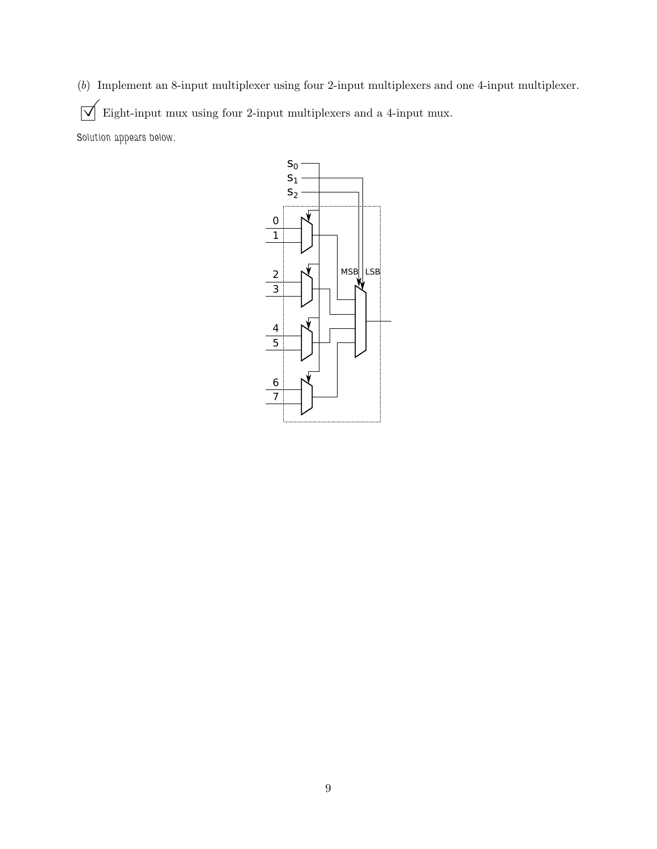(*b*) Implement an 8-input multiplexer using four 2-input multiplexers and one 4-input multiplexer.  $\boxed{\bigvee}$  Eight-input mux using four 2-input multiplexers and a 4-input mux. *Solution appears below.*

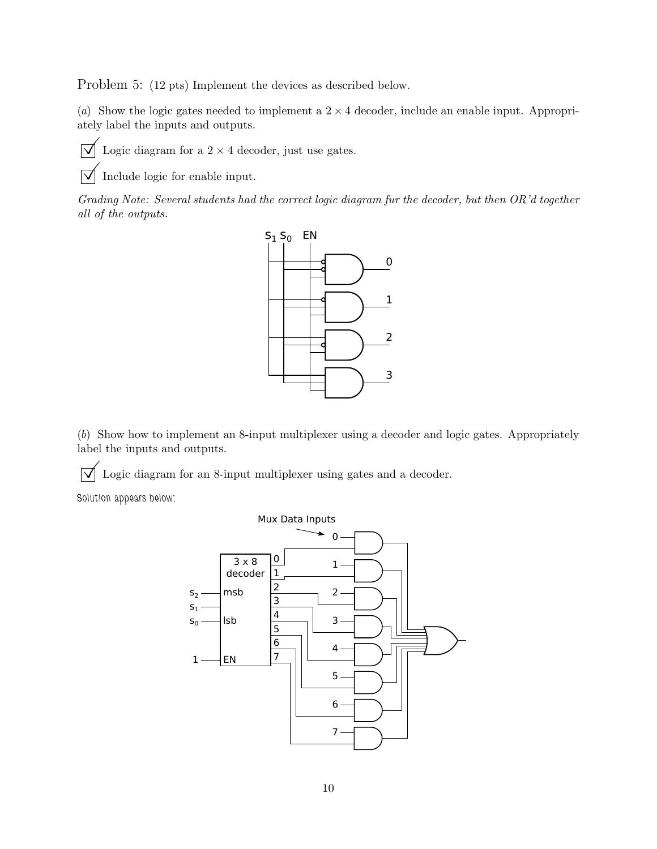Problem 5: (12 pts) Implement the devices as described below.

(*a*) Show the logic gates needed to implement a  $2 \times 4$  decoder, include an enable input. Appropriately label the inputs and outputs.



 $\triangledown$  Logic diagram for a 2 × 4 decoder, just use gates.

Include logic for enable input.

*Grading Note: Several students had the correct logic diagram fur the decoder, but then OR'd together all of the outputs.*



(*b*) Show how to implement an 8-input multiplexer using a decoder and logic gates. Appropriately label the inputs and outputs.

 $\vert \overrightarrow{\bigvee} \vert$  Logic diagram for an 8-input multiplexer using gates and a decoder.

*Solution appears below:*